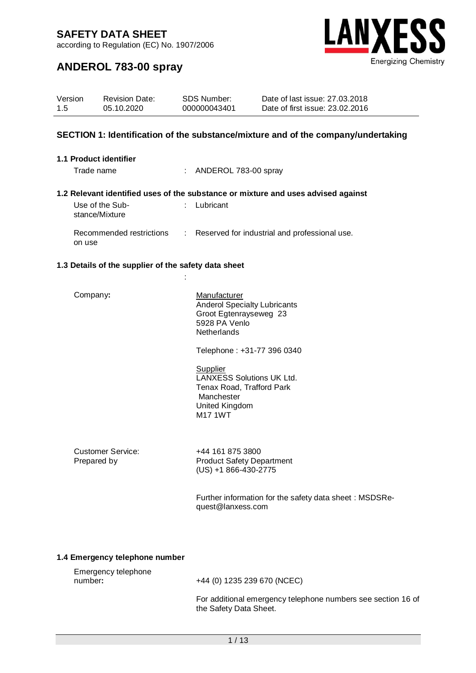according to Regulation (EC) No. 1907/2006



# **ANDEROL 783-00 spray**

| Version | <b>Revision Date:</b> | SDS Number:  | Date of last issue: 27,03,2018  |
|---------|-----------------------|--------------|---------------------------------|
| 1.5     | 05.10.2020            | 000000043401 | Date of first issue: 23,02,2016 |
|         |                       |              |                                 |

### **SECTION 1: Identification of the substance/mixture and of the company/undertaking**

### **1.1 Product identifier**

Trade name : ANDEROL 783-00 spray

### **1.2 Relevant identified uses of the substance or mixture and uses advised against**

Use of the Substance/Mixture : Lubricant

:

Recommended restrictions on use : Reserved for industrial and professional use.

#### **1.3 Details of the supplier of the safety data sheet**

Company: Manufacturer Anderol Specialty Lubricants Groot Egtenrayseweg 23 5928 PA Venlo **Netherlands** 

Telephone : +31-77 396 0340

**Supplier** LANXESS Solutions UK Ltd. Tenax Road, Trafford Park Manchester United Kingdom M17 1WT

Customer Service:<br>
Prepared by Frepared by Product Safety De

Product Safety Department (US) +1 866-430-2775

Further information for the safety data sheet : MSDSRequest@lanxess.com

### **1.4 Emergency telephone number**

| Emergency telephone |  |
|---------------------|--|
| number:             |  |

number**:** +44 (0) 1235 239 670 (NCEC)

For additional emergency telephone numbers see section 16 of the Safety Data Sheet.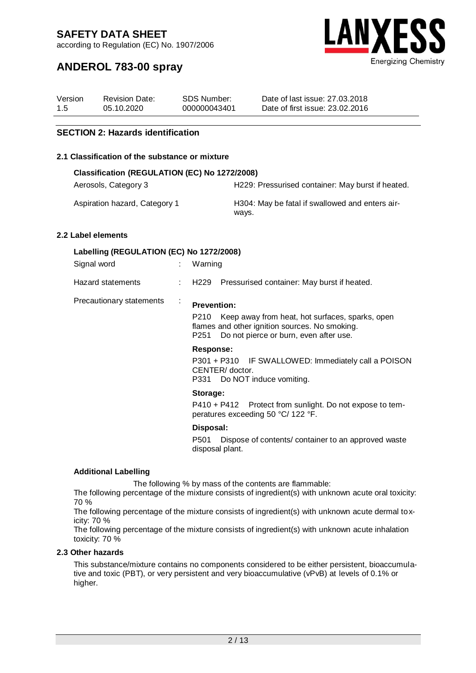according to Regulation (EC) No. 1907/2006



# **ANDEROL 783-00 spray**

| Version | <b>Revision Date:</b> | SDS Number:  | Date of last issue: 27,03,2018  |
|---------|-----------------------|--------------|---------------------------------|
| 1.5     | 05.10.2020            | 000000043401 | Date of first issue: 23,02,2016 |

### **SECTION 2: Hazards identification**

#### **2.1 Classification of the substance or mixture**

| Classification (REGULATION (EC) No 1272/2008)                   |                                                   |  |  |
|-----------------------------------------------------------------|---------------------------------------------------|--|--|
| Aerosols, Category 3                                            | H229: Pressurised container: May burst if heated. |  |  |
| $\mathbf{A}$ . The set of $\mathbf{A}$ is a set of $\mathbf{A}$ |                                                   |  |  |

Aspiration hazard, Category 1 H304: May be fatal if swallowed and enters airways.

#### **2.2 Label elements**

### **Labelling (REGULATION (EC) No 1272/2008)**

| Signal word              |   | Warning                                                                                                                                                                        |
|--------------------------|---|--------------------------------------------------------------------------------------------------------------------------------------------------------------------------------|
| Hazard statements        |   | Pressurised container: May burst if heated.<br>: H229                                                                                                                          |
| Precautionary statements | ÷ | <b>Prevention:</b><br>Keep away from heat, hot surfaces, sparks, open<br>P210<br>flames and other ignition sources. No smoking.<br>P251 Do not pierce or burn, even after use. |
|                          |   | Response:<br>P301 + P310 IF SWALLOWED: Immediately call a POISON<br>CENTER/doctor.<br>P331 Do NOT induce vomiting.                                                             |
|                          |   | Storage:<br>P410 + P412 Protect from sunlight. Do not expose to tem-<br>peratures exceeding 50 °C/ 122 °F.                                                                     |
|                          |   | Disposal:                                                                                                                                                                      |
|                          |   |                                                                                                                                                                                |

P501 Dispose of contents/ container to an approved waste disposal plant.

### **Additional Labelling**

The following % by mass of the contents are flammable:

The following percentage of the mixture consists of ingredient(s) with unknown acute oral toxicity: 70 %

The following percentage of the mixture consists of ingredient(s) with unknown acute dermal toxicity: 70 %

The following percentage of the mixture consists of ingredient(s) with unknown acute inhalation toxicity: 70 %

#### **2.3 Other hazards**

This substance/mixture contains no components considered to be either persistent, bioaccumulative and toxic (PBT), or very persistent and very bioaccumulative (vPvB) at levels of 0.1% or higher.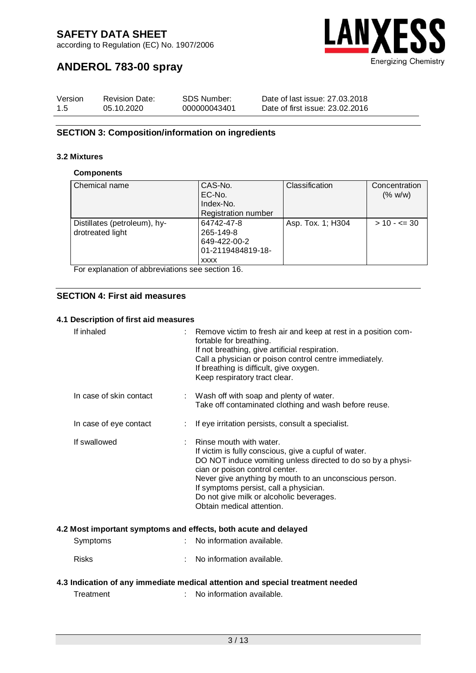according to Regulation (EC) No. 1907/2006



# **ANDEROL 783-00 spray**

| Version | <b>Revision Date:</b> | SDS Number:  | Date of last issue: 27,03,2018  |
|---------|-----------------------|--------------|---------------------------------|
| 1.5     | 05.10.2020            | 000000043401 | Date of first issue: 23,02,2016 |

### **SECTION 3: Composition/information on ingredients**

### **3.2 Mixtures**

#### **Components**

| Chemical name                | CAS-No.                    | Classification    | Concentration    |
|------------------------------|----------------------------|-------------------|------------------|
|                              | EC-No.                     |                   | (% w/w)          |
|                              | Index-No.                  |                   |                  |
|                              | <b>Registration number</b> |                   |                  |
| Distillates (petroleum), hy- | 64742-47-8                 | Asp. Tox. 1; H304 | $> 10 - \leq 30$ |
| drotreated light             | 265-149-8                  |                   |                  |
|                              | 649-422-00-2               |                   |                  |
|                              | 01-2119484819-18-          |                   |                  |
|                              | <b>XXXX</b>                |                   |                  |

For explanation of abbreviations see section 16.

### **SECTION 4: First aid measures**

### **4.1 Description of first aid measures**

| If inhaled              | Remove victim to fresh air and keep at rest in a position com-<br>fortable for breathing.<br>If not breathing, give artificial respiration.<br>Call a physician or poison control centre immediately.<br>If breathing is difficult, give oxygen.<br>Keep respiratory tract clear.                                                                              |
|-------------------------|----------------------------------------------------------------------------------------------------------------------------------------------------------------------------------------------------------------------------------------------------------------------------------------------------------------------------------------------------------------|
| In case of skin contact | : Wash off with soap and plenty of water.<br>Take off contaminated clothing and wash before reuse.                                                                                                                                                                                                                                                             |
| In case of eye contact  | If eye irritation persists, consult a specialist.                                                                                                                                                                                                                                                                                                              |
| If swallowed            | Rinse mouth with water.<br>If victim is fully conscious, give a cupful of water.<br>DO NOT induce vomiting unless directed to do so by a physi-<br>cian or poison control center.<br>Never give anything by mouth to an unconscious person.<br>If symptoms persist, call a physician.<br>Do not give milk or alcoholic beverages.<br>Obtain medical attention. |
|                         | 4.2 Most important symptoms and effects, both acute and delayed                                                                                                                                                                                                                                                                                                |
| Symptoms                | No information available.                                                                                                                                                                                                                                                                                                                                      |
| <b>Risks</b>            | No information available.                                                                                                                                                                                                                                                                                                                                      |
|                         | 4.3 Indication of any immediate medical attention and special treatment needed                                                                                                                                                                                                                                                                                 |
| Treatment               | No information available.                                                                                                                                                                                                                                                                                                                                      |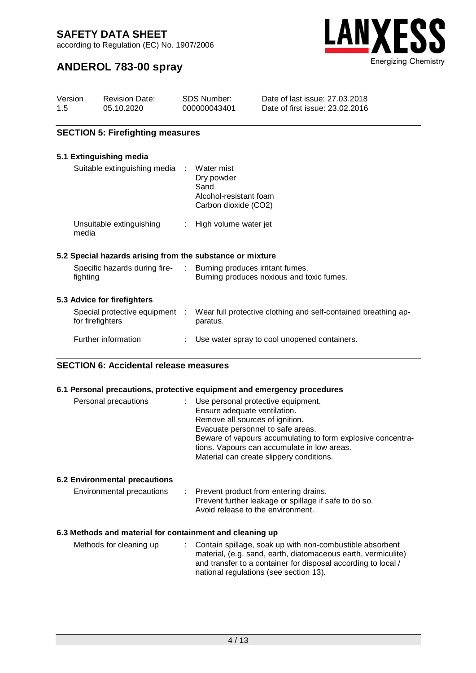according to Regulation (EC) No. 1907/2006



# **ANDEROL 783-00 spray**

| Version | <b>Revision Date:</b> | SDS Number:  | Date of last issue: 27,03,2018  |
|---------|-----------------------|--------------|---------------------------------|
| 1.5     | 05.10.2020            | 000000043401 | Date of first issue: 23.02.2016 |

### **SECTION 5: Firefighting measures**

### **5.1 Extinguishing media**

| Suitable extinguishing media :                            | Water mist<br>Dry powder<br>Sand<br>Alcohol-resistant foam<br>Carbon dioxide (CO2)                            |
|-----------------------------------------------------------|---------------------------------------------------------------------------------------------------------------|
| Unsuitable extinguishing<br>media                         | : High volume water jet                                                                                       |
| 5.2 Special hazards arising from the substance or mixture |                                                                                                               |
| fighting                                                  | Specific hazards during fire- : Burning produces irritant fumes.<br>Burning produces noxious and toxic fumes. |
| 5.3 Advice for firefighters                               |                                                                                                               |
| Special protective equipment :<br>for firefighters        | Wear full protective clothing and self-contained breathing ap-<br>paratus.                                    |
| Further information                                       | Use water spray to cool unopened containers.                                                                  |
|                                                           |                                                                                                               |

### **SECTION 6: Accidental release measures**

|                                                          | 6.1 Personal precautions, protective equipment and emergency procedures                                                                                                                                                                                                                                |
|----------------------------------------------------------|--------------------------------------------------------------------------------------------------------------------------------------------------------------------------------------------------------------------------------------------------------------------------------------------------------|
| Personal precautions                                     | : Use personal protective equipment.<br>Ensure adequate ventilation.<br>Remove all sources of ignition.<br>Evacuate personnel to safe areas.<br>Beware of vapours accumulating to form explosive concentra-<br>tions. Vapours can accumulate in low areas.<br>Material can create slippery conditions. |
| <b>6.2 Environmental precautions</b>                     |                                                                                                                                                                                                                                                                                                        |
| Environmental precautions                                | : Prevent product from entering drains.<br>Prevent further leakage or spillage if safe to do so.<br>Avoid release to the environment.                                                                                                                                                                  |
| 6.3 Methods and material for containment and cleaning up |                                                                                                                                                                                                                                                                                                        |
| $M$ othodo for olooning un                               | Contain apillogo, sook un with non combustible obserbont                                                                                                                                                                                                                                               |

| Methods for cleaning up | : Contain spillage, soak up with non-combustible absorbent    |
|-------------------------|---------------------------------------------------------------|
|                         | material, (e.g. sand, earth, diatomaceous earth, vermiculite) |
|                         | and transfer to a container for disposal according to local / |
|                         | national regulations (see section 13).                        |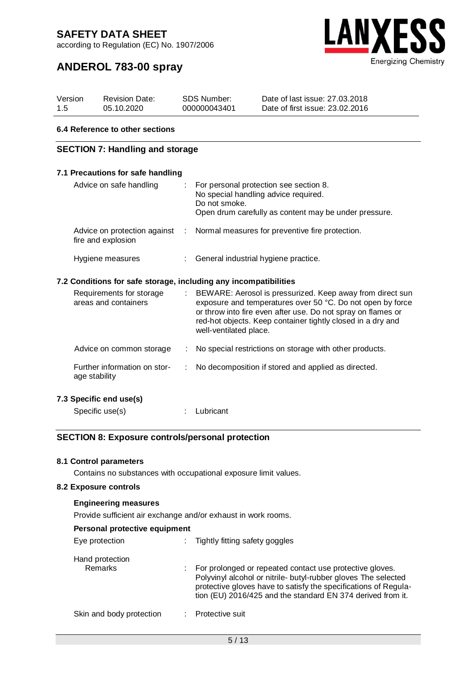according to Regulation (EC) No. 1907/2006



# **ANDEROL 783-00 spray**

| Version | <b>Revision Date:</b> | SDS Number:  | Date of last issue: 27,03,2018  |
|---------|-----------------------|--------------|---------------------------------|
| 1.5     | 05.10.2020            | 000000043401 | Date of first issue: 23.02.2016 |

#### **6.4 Reference to other sections**

### **SECTION 7: Handling and storage**

## **7.1 Precautions for safe handling** Advice on safe handling : For personal protection see section 8. No special handling advice required. Do not smoke. Open drum carefully as content may be under pressure. Advice on protection against : fire and explosion : Normal measures for preventive fire protection. Hygiene measures : General industrial hygiene practice. **7.2 Conditions for safe storage, including any incompatibilities**

| Requirements for storage<br>areas and containers | ÷. | BEWARE: Aerosol is pressurized. Keep away from direct sun<br>exposure and temperatures over 50 °C. Do not open by force<br>or throw into fire even after use. Do not spray on flames or<br>red-hot objects. Keep container tightly closed in a dry and<br>well-ventilated place. |
|--------------------------------------------------|----|----------------------------------------------------------------------------------------------------------------------------------------------------------------------------------------------------------------------------------------------------------------------------------|
| Advice on common storage                         | ÷. | No special restrictions on storage with other products.                                                                                                                                                                                                                          |
| Further information on stor-<br>age stability    | ÷. | No decomposition if stored and applied as directed.                                                                                                                                                                                                                              |

### **7.3 Specific end use(s)**

Specific use(s) : Lubricant

### **SECTION 8: Exposure controls/personal protection**

#### **8.1 Control parameters**

Contains no substances with occupational exposure limit values.

### **8.2 Exposure controls**

#### **Engineering measures**

Provide sufficient air exchange and/or exhaust in work rooms.

| Personal protective equipment |  |
|-------------------------------|--|
|-------------------------------|--|

| Eye protection             | ÷. | Tightly fitting safety goggles                                                                                                                                                                                                                               |
|----------------------------|----|--------------------------------------------------------------------------------------------------------------------------------------------------------------------------------------------------------------------------------------------------------------|
| Hand protection<br>Remarks |    | For prolonged or repeated contact use protective gloves.<br>Polyvinyl alcohol or nitrile- butyl-rubber gloves The selected<br>protective gloves have to satisfy the specifications of Regula-<br>tion (EU) 2016/425 and the standard EN 374 derived from it. |
| Skin and body protection   |    | Protective suit                                                                                                                                                                                                                                              |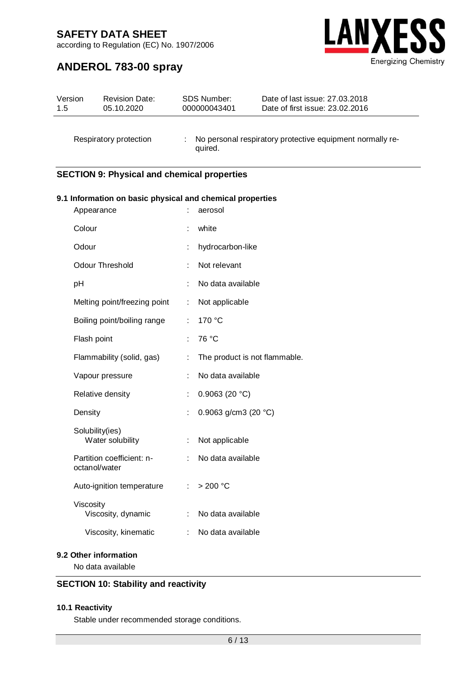according to Regulation (EC) No. 1907/2006

# **ANDEROL 783-00 spray**



| Version | <b>Revision Date:</b>  | SDS Number:  | Date of last issue: 27.03.2018                            |
|---------|------------------------|--------------|-----------------------------------------------------------|
| 1.5     | 05.10.2020             | 000000043401 | Date of first issue: 23,02,2016                           |
|         | Respiratory protection | quired.      | No personal respiratory protective equipment normally re- |

### **SECTION 9: Physical and chemical properties**

### **9.1 Information on basic physical and chemical properties**

| Appearance                                 |    | aerosol                       |
|--------------------------------------------|----|-------------------------------|
| Colour                                     |    | white                         |
| Odour                                      | t  | hydrocarbon-like              |
| Odour Threshold                            | t. | Not relevant                  |
| рH                                         | ÷  | No data available             |
| Melting point/freezing point               | ÷  | Not applicable                |
| Boiling point/boiling range                | ÷  | 170 °C                        |
| Flash point                                | t. | 76 °C                         |
| Flammability (solid, gas)                  | t  | The product is not flammable. |
| Vapour pressure                            | ÷  | No data available             |
| Relative density                           | ÷  | 0.9063 (20 $°C$ )             |
| Density                                    | t  | 0.9063 g/cm3 (20 $°C$ )       |
| Solubility(ies)<br>Water solubility        | t  | Not applicable                |
| Partition coefficient: n-<br>octanol/water | ÷  | No data available             |
| Auto-ignition temperature                  |    | : $>200$ °C                   |
| Viscosity<br>Viscosity, dynamic            | ÷. | No data available             |
| Viscosity, kinematic                       | ÷. | No data available             |
|                                            |    |                               |

### **9.2 Other information**

No data available

### **SECTION 10: Stability and reactivity**

### **10.1 Reactivity**

Stable under recommended storage conditions.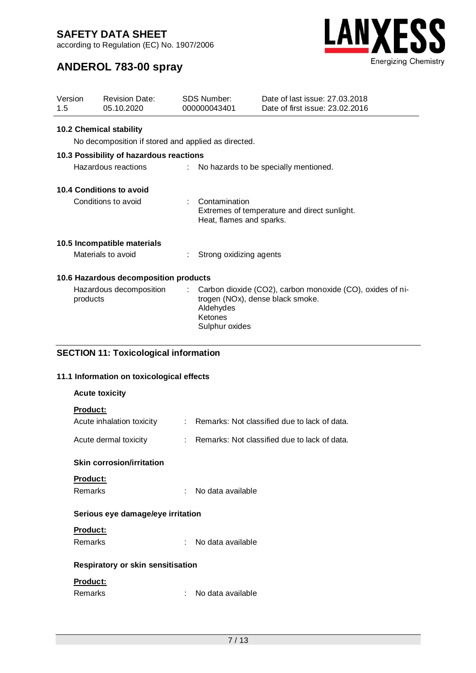according to Regulation (EC) No. 1907/2006



# **ANDEROL 783-00 spray**

| Version<br>1.5      | <b>Revision Date:</b><br>05.10.2020                 | <b>SDS Number:</b><br>000000043401     | Date of last issue: 27,03,2018<br>Date of first issue: 23.02.2016                             |  |  |
|---------------------|-----------------------------------------------------|----------------------------------------|-----------------------------------------------------------------------------------------------|--|--|
|                     | <b>10.2 Chemical stability</b>                      |                                        |                                                                                               |  |  |
|                     | No decomposition if stored and applied as directed. |                                        |                                                                                               |  |  |
|                     | 10.3 Possibility of hazardous reactions             |                                        |                                                                                               |  |  |
|                     | Hazardous reactions                                 |                                        | No hazards to be specially mentioned.                                                         |  |  |
|                     | 10.4 Conditions to avoid                            |                                        |                                                                                               |  |  |
| Conditions to avoid |                                                     | Contamination                          | Extremes of temperature and direct sunlight.<br>Heat, flames and sparks.                      |  |  |
|                     | 10.5 Incompatible materials                         |                                        |                                                                                               |  |  |
|                     | Materials to avoid                                  | Strong oxidizing agents                |                                                                                               |  |  |
|                     | 10.6 Hazardous decomposition products               |                                        |                                                                                               |  |  |
| products            | Hazardous decomposition                             | Aldehydes<br>Ketones<br>Sulphur oxides | Carbon dioxide (CO2), carbon monoxide (CO), oxides of ni-<br>trogen (NOx), dense black smoke. |  |  |
|                     | <b>SECTION 11: Toxicological information</b>        |                                        |                                                                                               |  |  |
|                     | 11.1 Information on toxicological effects           |                                        |                                                                                               |  |  |

| <b>Acute toxicity</b>                        |  |                                                |  |  |  |  |  |
|----------------------------------------------|--|------------------------------------------------|--|--|--|--|--|
| <b>Product:</b><br>Acute inhalation toxicity |  | : Remarks: Not classified due to lack of data. |  |  |  |  |  |
| Acute dermal toxicity                        |  | : Remarks: Not classified due to lack of data. |  |  |  |  |  |
| <b>Skin corrosion/irritation</b>             |  |                                                |  |  |  |  |  |
| <b>Product:</b>                              |  |                                                |  |  |  |  |  |
| Remarks                                      |  | : No data available                            |  |  |  |  |  |
| Serious eye damage/eye irritation            |  |                                                |  |  |  |  |  |
| Product:                                     |  |                                                |  |  |  |  |  |
| Remarks                                      |  | : No data available                            |  |  |  |  |  |
| <b>Respiratory or skin sensitisation</b>     |  |                                                |  |  |  |  |  |
| Product:                                     |  |                                                |  |  |  |  |  |
| Remarks                                      |  | No data available                              |  |  |  |  |  |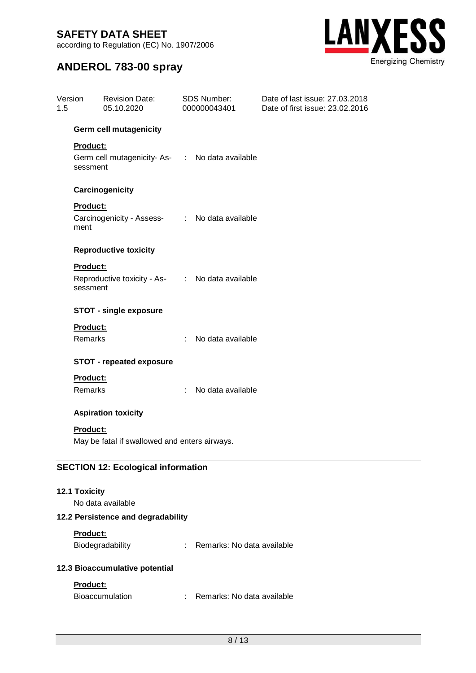according to Regulation (EC) No. 1907/2006



# **ANDEROL 783-00 spray**

| 1.5 | Version<br><b>Revision Date:</b><br>05.10.2020                   |                                                 | SDS Number:<br>000000043401 |                              | Date of last issue: 27,03,2018<br>Date of first issue: 23.02.2016 |  |
|-----|------------------------------------------------------------------|-------------------------------------------------|-----------------------------|------------------------------|-------------------------------------------------------------------|--|
|     | <b>Germ cell mutagenicity</b>                                    |                                                 |                             |                              |                                                                   |  |
|     | <b>Product:</b>                                                  |                                                 |                             |                              |                                                                   |  |
|     | sessment                                                         | Germ cell mutagenicity-As- : No data available  |                             |                              |                                                                   |  |
|     |                                                                  | Carcinogenicity                                 |                             |                              |                                                                   |  |
|     | Product:                                                         |                                                 |                             |                              |                                                                   |  |
|     | ment                                                             | Carcinogenicity - Assess- : No data available   |                             |                              |                                                                   |  |
|     |                                                                  | <b>Reproductive toxicity</b>                    |                             |                              |                                                                   |  |
|     | <b>Product:</b><br>sessment                                      | Reproductive toxicity - As- : No data available |                             |                              |                                                                   |  |
|     |                                                                  | <b>STOT - single exposure</b>                   |                             |                              |                                                                   |  |
|     | <b>Product:</b>                                                  |                                                 |                             |                              |                                                                   |  |
|     | Remarks                                                          |                                                 | ÷                           | No data available            |                                                                   |  |
|     |                                                                  | <b>STOT - repeated exposure</b>                 |                             |                              |                                                                   |  |
|     | <b>Product:</b>                                                  |                                                 |                             |                              |                                                                   |  |
|     | Remarks                                                          |                                                 | $\mathcal{L}^{\mathcal{L}}$ | No data available            |                                                                   |  |
|     |                                                                  | <b>Aspiration toxicity</b>                      |                             |                              |                                                                   |  |
|     | <b>Product:</b><br>May be fatal if swallowed and enters airways. |                                                 |                             |                              |                                                                   |  |
|     |                                                                  | <b>SECTION 12: Ecological information</b>       |                             |                              |                                                                   |  |
|     | 12.1 Toxicity                                                    | No data available                               |                             |                              |                                                                   |  |
|     |                                                                  | 12.2 Persistence and degradability              |                             |                              |                                                                   |  |
|     | Product:                                                         |                                                 |                             |                              |                                                                   |  |
|     |                                                                  | Biodegradability                                |                             | : Remarks: No data available |                                                                   |  |
|     | 12.3 Bioaccumulative potential                                   |                                                 |                             |                              |                                                                   |  |
|     | Product:                                                         |                                                 |                             |                              |                                                                   |  |

Bioaccumulation : Remarks: No data available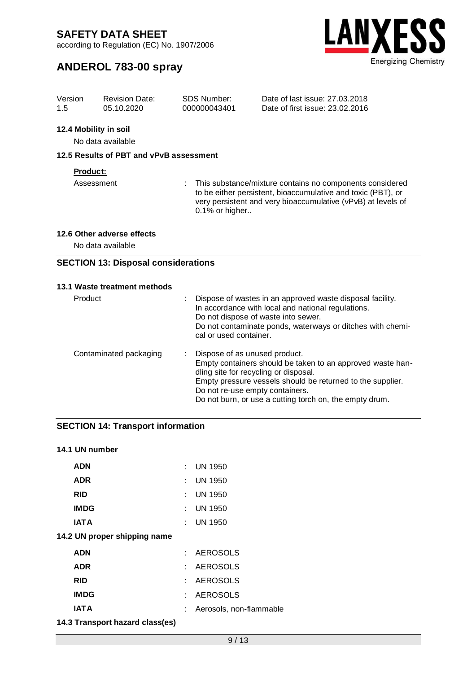according to Regulation (EC) No. 1907/2006



# **ANDEROL 783-00 spray**

| Version<br>1.5         | <b>Revision Date:</b><br>05.10.2020             |  | <b>SDS Number:</b><br>000000043401                                                                                                                                                                         | Date of last issue: 27.03.2018<br>Date of first issue: 23.02.2016                                                                                                                                                    |  |  |  |  |  |  |
|------------------------|-------------------------------------------------|--|------------------------------------------------------------------------------------------------------------------------------------------------------------------------------------------------------------|----------------------------------------------------------------------------------------------------------------------------------------------------------------------------------------------------------------------|--|--|--|--|--|--|
|                        | 12.4 Mobility in soil<br>No data available      |  |                                                                                                                                                                                                            |                                                                                                                                                                                                                      |  |  |  |  |  |  |
|                        | 12.5 Results of PBT and vPvB assessment         |  |                                                                                                                                                                                                            |                                                                                                                                                                                                                      |  |  |  |  |  |  |
| Product:<br>Assessment |                                                 |  | This substance/mixture contains no components considered<br>to be either persistent, bioaccumulative and toxic (PBT), or<br>very persistent and very bioaccumulative (vPvB) at levels of<br>0.1% or higher |                                                                                                                                                                                                                      |  |  |  |  |  |  |
|                        | 12.6 Other adverse effects<br>No data available |  |                                                                                                                                                                                                            |                                                                                                                                                                                                                      |  |  |  |  |  |  |
|                        | <b>SECTION 13: Disposal considerations</b>      |  |                                                                                                                                                                                                            |                                                                                                                                                                                                                      |  |  |  |  |  |  |
|                        | 13.1 Waste treatment methods                    |  |                                                                                                                                                                                                            |                                                                                                                                                                                                                      |  |  |  |  |  |  |
| Product                |                                                 |  | cal or used container.                                                                                                                                                                                     | Dispose of wastes in an approved waste disposal facility.<br>In accordance with local and national regulations.<br>Do not dispose of waste into sewer.<br>Do not contaminate ponds, waterways or ditches with chemi- |  |  |  |  |  |  |
|                        | Contaminated packaging                          |  | Dispose of as unused product.<br>dling site for recycling or disposal.<br>Do not re-use empty containers.                                                                                                  | Empty containers should be taken to an approved waste han-<br>Empty pressure vessels should be returned to the supplier.<br>Do not burn, or use a cutting torch on, the empty drum.                                  |  |  |  |  |  |  |

### **SECTION 14: Transport information**

### **14.1 UN number**

| ADN                          |    | : UN 1950               |
|------------------------------|----|-------------------------|
| <b>ADR</b>                   |    | $:$ UN 1950             |
| <b>RID</b>                   | t. | UN 1950                 |
| <b>IMDG</b>                  |    | $\therefore$ UN 1950    |
| <b>IATA</b>                  |    | $:$ UN 1950             |
| 14.2 UN proper shipping name |    |                         |
| <b>ADN</b>                   |    | : AEROSOLS              |
| <b>ADR</b>                   |    | : AEROSOLS              |
| <b>RID</b>                   |    | : AEROSOLS              |
| <b>IMDG</b>                  |    | : AEROSOLS              |
| IAT A                        |    | Aerosols, non-flammable |
|                              |    |                         |

#### **14.3 Transport hazard class(es)**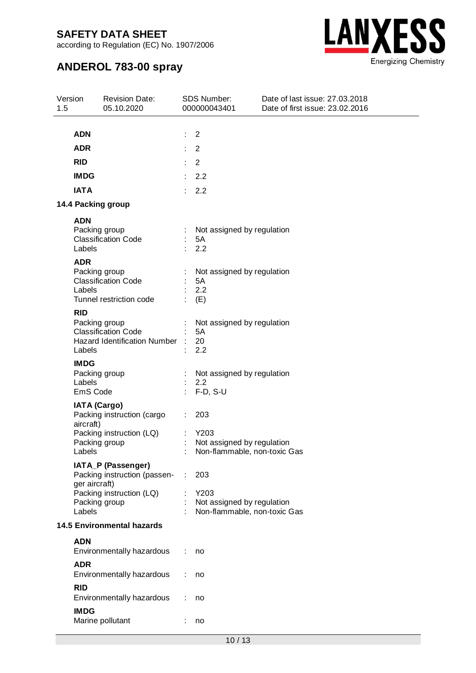according to Regulation (EC) No. 1907/2006



# **ANDEROL 783-00 spray**

| 1.5 | Version       | <b>Revision Date:</b><br>05.10.2020                |   | SDS Number:<br>000000043401                                | Date of last issue: 27.03.2018<br>Date of first issue: 23.02.2016 |
|-----|---------------|----------------------------------------------------|---|------------------------------------------------------------|-------------------------------------------------------------------|
|     | <b>ADN</b>    |                                                    |   | 2                                                          |                                                                   |
|     | <b>ADR</b>    |                                                    |   | 2                                                          |                                                                   |
|     |               |                                                    |   |                                                            |                                                                   |
|     | <b>RID</b>    |                                                    |   | $\overline{2}$                                             |                                                                   |
|     | <b>IMDG</b>   |                                                    |   | 2.2                                                        |                                                                   |
|     | <b>IATA</b>   |                                                    |   | 2.2                                                        |                                                                   |
|     |               | 14.4 Packing group                                 |   |                                                            |                                                                   |
|     | <b>ADN</b>    |                                                    |   |                                                            |                                                                   |
|     |               | Packing group<br><b>Classification Code</b>        | ÷ | Not assigned by regulation<br>5A                           |                                                                   |
|     | Labels        |                                                    |   | 2.2                                                        |                                                                   |
|     | <b>ADR</b>    |                                                    |   |                                                            |                                                                   |
|     |               | Packing group                                      |   | Not assigned by regulation                                 |                                                                   |
|     | Labels        | <b>Classification Code</b>                         |   | 5A<br>2.2                                                  |                                                                   |
|     |               | Tunnel restriction code                            |   | (E)                                                        |                                                                   |
|     | <b>RID</b>    |                                                    |   |                                                            |                                                                   |
|     |               | Packing group<br><b>Classification Code</b>        |   | Not assigned by regulation                                 |                                                                   |
|     |               | Hazard Identification Number :                     |   | 5A<br>20                                                   |                                                                   |
|     | Labels        |                                                    |   | 2.2                                                        |                                                                   |
|     | <b>IMDG</b>   |                                                    |   |                                                            |                                                                   |
|     | Labels        | Packing group                                      |   | Not assigned by regulation<br>2.2                          |                                                                   |
|     | EmS Code      |                                                    |   | $F-D, S-U$                                                 |                                                                   |
|     |               | <b>IATA (Cargo)</b>                                |   |                                                            |                                                                   |
|     |               | Packing instruction (cargo                         |   | 203                                                        |                                                                   |
|     | aircraft)     | Packing instruction (LQ)                           |   | Y203                                                       |                                                                   |
|     |               | Packing group                                      |   | Not assigned by regulation                                 |                                                                   |
|     | Labels        |                                                    |   | Non-flammable, non-toxic Gas                               |                                                                   |
|     |               | IATA_P (Passenger)<br>Packing instruction (passen- | ÷ | 203                                                        |                                                                   |
|     | ger aircraft) |                                                    |   |                                                            |                                                                   |
|     |               | Packing instruction (LQ)                           |   | Y203                                                       |                                                                   |
|     | Labels        | Packing group                                      |   | Not assigned by regulation<br>Non-flammable, non-toxic Gas |                                                                   |
|     |               | <b>14.5 Environmental hazards</b>                  |   |                                                            |                                                                   |
|     | <b>ADN</b>    |                                                    |   |                                                            |                                                                   |
|     |               | Environmentally hazardous                          |   | no                                                         |                                                                   |
|     | <b>ADR</b>    |                                                    |   |                                                            |                                                                   |
|     |               | Environmentally hazardous                          |   | no                                                         |                                                                   |
|     | <b>RID</b>    |                                                    |   |                                                            |                                                                   |
|     |               | Environmentally hazardous                          |   | no                                                         |                                                                   |
|     | <b>IMDG</b>   | Marine pollutant                                   |   | no                                                         |                                                                   |
|     |               |                                                    |   |                                                            |                                                                   |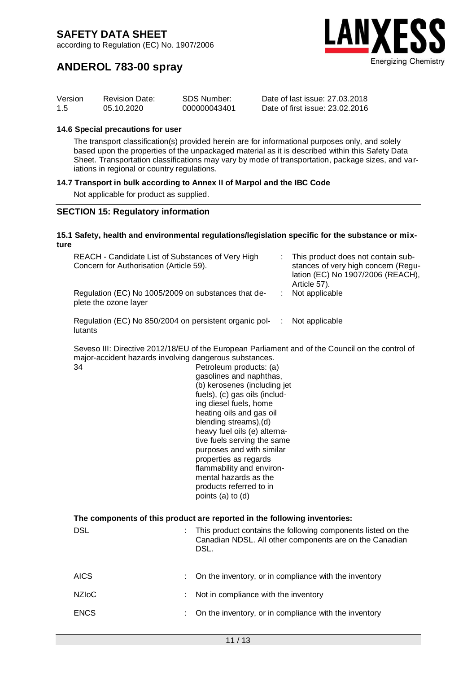according to Regulation (EC) No. 1907/2006



# **ANDEROL 783-00 spray**

| Version | <b>Revision Date:</b> | SDS Number:  | Date of last issue: 27,03,2018  |
|---------|-----------------------|--------------|---------------------------------|
| 1.5     | 05.10.2020            | 000000043401 | Date of first issue: 23.02.2016 |

#### **14.6 Special precautions for user**

The transport classification(s) provided herein are for informational purposes only, and solely based upon the properties of the unpackaged material as it is described within this Safety Data Sheet. Transportation classifications may vary by mode of transportation, package sizes, and variations in regional or country regulations.

### **14.7 Transport in bulk according to Annex II of Marpol and the IBC Code**

Not applicable for product as supplied.

### **SECTION 15: Regulatory information**

#### **15.1 Safety, health and environmental regulations/legislation specific for the substance or mixture**

| REACH - Candidate List of Substances of Very High<br>Concern for Authorisation (Article 59). | This product does not contain sub-<br>stances of very high concern (Regu-<br>lation (EC) No 1907/2006 (REACH),<br>Article 57). |
|----------------------------------------------------------------------------------------------|--------------------------------------------------------------------------------------------------------------------------------|
| Regulation (EC) No 1005/2009 on substances that de-<br>plete the ozone layer                 | Not applicable                                                                                                                 |
| Regulation (EC) No 850/2004 on persistent organic pol-<br>lutants                            | Not applicable                                                                                                                 |

Seveso III: Directive 2012/18/EU of the European Parliament and of the Council on the control of major-accident hazards involving dangerous substances.

| 34  | Petroleum products: (a)<br>gasolines and naphthas,                                                                             |
|-----|--------------------------------------------------------------------------------------------------------------------------------|
|     | (b) kerosenes (including jet                                                                                                   |
|     | fuels), (c) gas oils (includ-                                                                                                  |
|     | ing diesel fuels, home                                                                                                         |
|     | heating oils and gas oil                                                                                                       |
|     | blending streams), (d)                                                                                                         |
|     | heavy fuel oils (e) alterna-                                                                                                   |
|     | tive fuels serving the same                                                                                                    |
|     | purposes and with similar                                                                                                      |
|     | properties as regards                                                                                                          |
|     | flammability and environ-                                                                                                      |
|     | mental hazards as the                                                                                                          |
|     | products referred to in                                                                                                        |
|     | points (a) to (d)                                                                                                              |
|     | The components of this product are reported in the following inventories:                                                      |
| DSL | This product contains the following components listed on the<br>Canadian NDSL. All other components are on the Canadian<br>DSL |

| <b>AICS</b>        | : On the inventory, or in compliance with the inventory |
|--------------------|---------------------------------------------------------|
| NZI <sub>O</sub> C | : Not in compliance with the inventory                  |
| <b>ENCS</b>        | : On the inventory, or in compliance with the inventory |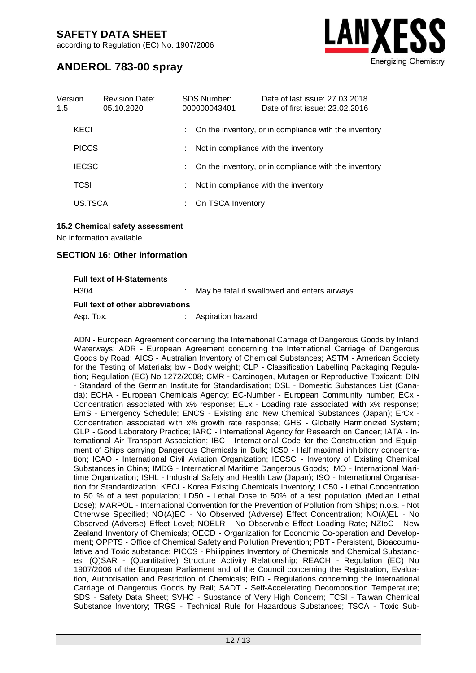according to Regulation (EC) No. 1907/2006



# **ANDEROL 783-00 spray**

| Version<br>1.5 | <b>Revision Date:</b><br>05.10.2020 |   | SDS Number:<br>000000043401 | Date of last issue: 27,03,2018<br>Date of first issue: 23.02.2016 |
|----------------|-------------------------------------|---|-----------------------------|-------------------------------------------------------------------|
| KECI           |                                     |   |                             | On the inventory, or in compliance with the inventory             |
| <b>PICCS</b>   |                                     | ÷ |                             | Not in compliance with the inventory                              |
| <b>IECSC</b>   |                                     |   |                             | : On the inventory, or in compliance with the inventory           |
| TCSI           |                                     |   |                             | Not in compliance with the inventory                              |
| US.TSCA        |                                     | ÷ | On TSCA Inventory           |                                                                   |

### **15.2 Chemical safety assessment**

No information available.

### **SECTION 16: Other information**

|  |  |  | <b>Full text of H-Statements</b> |
|--|--|--|----------------------------------|
|--|--|--|----------------------------------|

H304 : May be fatal if swallowed and enters airways.

### **Full text of other abbreviations**

Asp. Tox. **in the assumption of the Aspiration hazard** 

ADN - European Agreement concerning the International Carriage of Dangerous Goods by Inland Waterways; ADR - European Agreement concerning the International Carriage of Dangerous Goods by Road; AICS - Australian Inventory of Chemical Substances; ASTM - American Society for the Testing of Materials; bw - Body weight; CLP - Classification Labelling Packaging Regulation; Regulation (EC) No 1272/2008; CMR - Carcinogen, Mutagen or Reproductive Toxicant; DIN - Standard of the German Institute for Standardisation; DSL - Domestic Substances List (Canada); ECHA - European Chemicals Agency; EC-Number - European Community number; ECx - Concentration associated with x% response; ELx - Loading rate associated with x% response; EmS - Emergency Schedule; ENCS - Existing and New Chemical Substances (Japan); ErCx - Concentration associated with x% growth rate response; GHS - Globally Harmonized System; GLP - Good Laboratory Practice; IARC - International Agency for Research on Cancer; IATA - International Air Transport Association; IBC - International Code for the Construction and Equipment of Ships carrying Dangerous Chemicals in Bulk; IC50 - Half maximal inhibitory concentration; ICAO - International Civil Aviation Organization; IECSC - Inventory of Existing Chemical Substances in China; IMDG - International Maritime Dangerous Goods; IMO - International Maritime Organization; ISHL - Industrial Safety and Health Law (Japan); ISO - International Organisation for Standardization; KECI - Korea Existing Chemicals Inventory; LC50 - Lethal Concentration to 50 % of a test population; LD50 - Lethal Dose to 50% of a test population (Median Lethal Dose); MARPOL - International Convention for the Prevention of Pollution from Ships; n.o.s. - Not Otherwise Specified; NO(A)EC - No Observed (Adverse) Effect Concentration; NO(A)EL - No Observed (Adverse) Effect Level; NOELR - No Observable Effect Loading Rate; NZIoC - New Zealand Inventory of Chemicals; OECD - Organization for Economic Co-operation and Development; OPPTS - Office of Chemical Safety and Pollution Prevention; PBT - Persistent, Bioaccumulative and Toxic substance; PICCS - Philippines Inventory of Chemicals and Chemical Substances; (Q)SAR - (Quantitative) Structure Activity Relationship; REACH - Regulation (EC) No 1907/2006 of the European Parliament and of the Council concerning the Registration, Evaluation, Authorisation and Restriction of Chemicals; RID - Regulations concerning the International Carriage of Dangerous Goods by Rail; SADT - Self-Accelerating Decomposition Temperature; SDS - Safety Data Sheet; SVHC - Substance of Very High Concern; TCSI - Taiwan Chemical Substance Inventory; TRGS - Technical Rule for Hazardous Substances; TSCA - Toxic Sub-